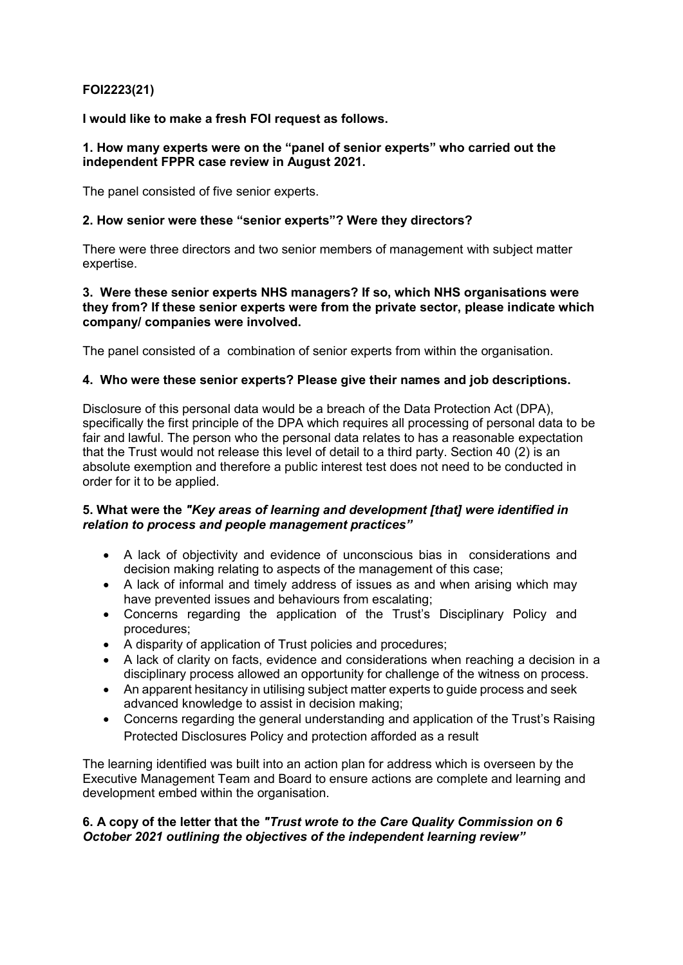# **FOI2223(21)**

**I would like to make a fresh FOI request as follows.**

## **1. How many experts were on the "panel of senior experts" who carried out the independent FPPR case review in August 2021.**

The panel consisted of five senior experts.

## **2. How senior were these "senior experts"? Were they directors?**

There were three directors and two senior members of management with subject matter expertise.

#### **3. Were these senior experts NHS managers? If so, which NHS organisations were they from? If these senior experts were from the private sector, please indicate which company/ companies were involved.**

The panel consisted of a combination of senior experts from within the organisation.

## **4. Who were these senior experts? Please give their names and job descriptions.**

Disclosure of this personal data would be a breach of the Data Protection Act (DPA), specifically the first principle of the DPA which requires all processing of personal data to be fair and lawful. The person who the personal data relates to has a reasonable expectation that the Trust would not release this level of detail to a third party. Section 40 (2) is an absolute exemption and therefore a public interest test does not need to be conducted in order for it to be applied.

## **5. What were the** *"Key areas of learning and development [that] were identified in relation to process and people management practices"*

- A lack of objectivity and evidence of unconscious bias in considerations and decision making relating to aspects of the management of this case;
- A lack of informal and timely address of issues as and when arising which may have prevented issues and behaviours from escalating;
- Concerns regarding the application of the Trust's Disciplinary Policy and procedures;
- A disparity of application of Trust policies and procedures;
- A lack of clarity on facts, evidence and considerations when reaching a decision in a disciplinary process allowed an opportunity for challenge of the witness on process.
- An apparent hesitancy in utilising subject matter experts to guide process and seek advanced knowledge to assist in decision making;
- Concerns regarding the general understanding and application of the Trust's Raising Protected Disclosures Policy and protection afforded as a result

The learning identified was built into an action plan for address which is overseen by the Executive Management Team and Board to ensure actions are complete and learning and development embed within the organisation.

## **6. A copy of the letter that the** *"Trust wrote to the Care Quality Commission on 6 October 2021 outlining the objectives of the independent learning review"*